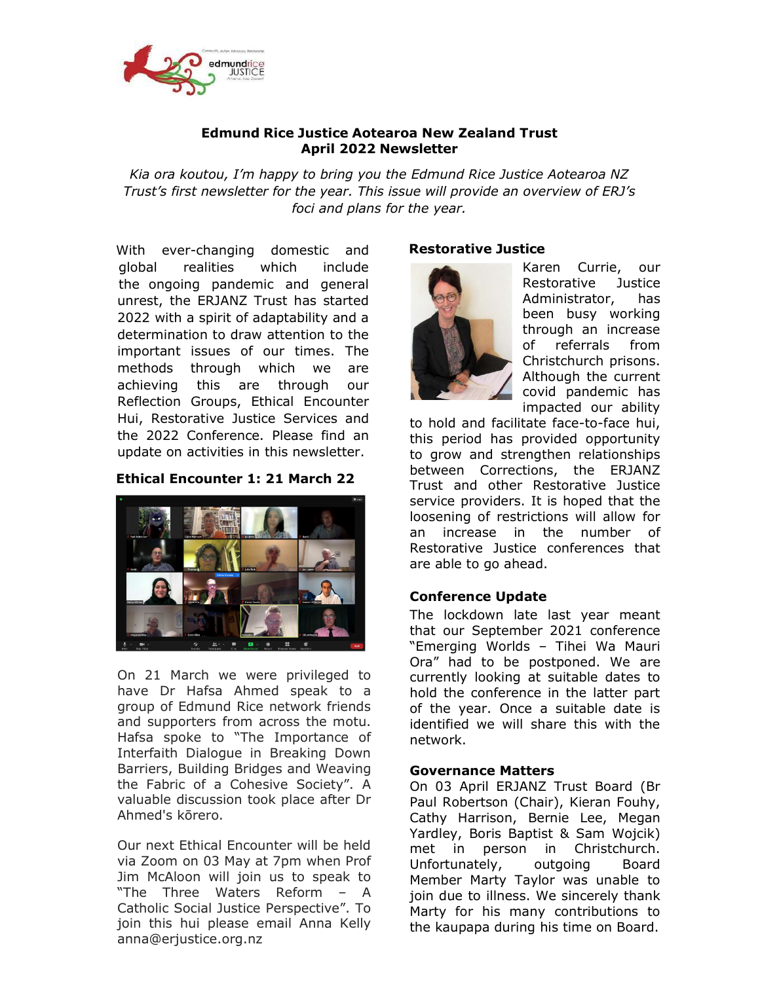

#### Edmund Rice Justice Aotearoa New Zealand Trust April 2022 Newsletter

Kia ora koutou, I'm happy to bring you the Edmund Rice Justice Aotearoa NZ Trust's first newsletter for the year. This issue will provide an overview of ERJ's foci and plans for the year.

With ever-changing domestic and global realities which include the ongoing pandemic and general unrest, the ERJANZ Trust has started 2022 with a spirit of adaptability and a determination to draw attention to the important issues of our times. The methods through which we are achieving this are through our Reflection Groups, Ethical Encounter Hui, Restorative Justice Services and the 2022 Conference. Please find an update on activities in this newsletter.

## Ethical Encounter 1: 21 March 22



On 21 March we were privileged to have Dr Hafsa Ahmed speak to a group of Edmund Rice network friends and supporters from across the motu. Hafsa spoke to "The Importance of Interfaith Dialogue in Breaking Down Barriers, Building Bridges and Weaving the Fabric of a Cohesive Society". A valuable discussion took place after Dr Ahmed's kōrero.

Our next Ethical Encounter will be held via Zoom on 03 May at 7pm when Prof Jim McAloon will join us to speak to "The Three Waters Reform – A Catholic Social Justice Perspective". To join this hui please email Anna Kelly anna@erjustice.org.nz

## Restorative Justice



Karen Currie, our Restorative Justice Administrator, has been busy working through an increase of referrals from Christchurch prisons. Although the current covid pandemic has impacted our ability

to hold and facilitate face-to-face hui, this period has provided opportunity to grow and strengthen relationships between Corrections, the ERJANZ Trust and other Restorative Justice service providers. It is hoped that the loosening of restrictions will allow for an increase in the number of Restorative Justice conferences that are able to go ahead.

## Conference Update

The lockdown late last year meant that our September 2021 conference "Emerging Worlds – Tihei Wa Mauri Ora" had to be postponed. We are currently looking at suitable dates to hold the conference in the latter part of the year. Once a suitable date is identified we will share this with the network.

#### Governance Matters

On 03 April ERJANZ Trust Board (Br Paul Robertson (Chair), Kieran Fouhy, Cathy Harrison, Bernie Lee, Megan Yardley, Boris Baptist & Sam Wojcik) met in person in Christchurch. Unfortunately, outgoing Board Member Marty Taylor was unable to join due to illness. We sincerely thank Marty for his many contributions to the kaupapa during his time on Board.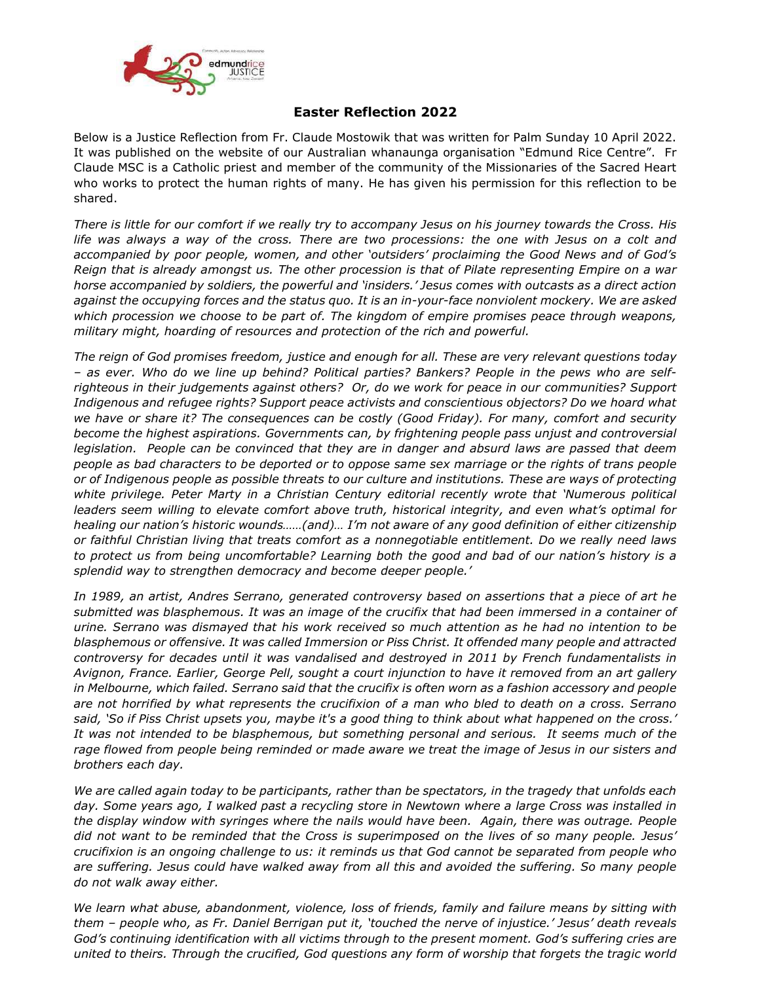

# Easter Reflection 2022

Below is a Justice Reflection from Fr. Claude Mostowik that was written for Palm Sunday 10 April 2022. It was published on the website of our Australian whanaunga organisation "Edmund Rice Centre". Fr Claude MSC is a Catholic priest and member of the community of the Missionaries of the Sacred Heart who works to protect the human rights of many. He has given his permission for this reflection to be shared.

There is little for our comfort if we really try to accompany Jesus on his journey towards the Cross. His life was always a way of the cross. There are two processions: the one with Jesus on a colt and accompanied by poor people, women, and other 'outsiders' proclaiming the Good News and of God's Reign that is already amongst us. The other procession is that of Pilate representing Empire on a war horse accompanied by soldiers, the powerful and 'insiders.' Jesus comes with outcasts as a direct action against the occupying forces and the status quo. It is an in-your-face nonviolent mockery. We are asked which procession we choose to be part of. The kingdom of empire promises peace through weapons, military might, hoarding of resources and protection of the rich and powerful.

The reign of God promises freedom, justice and enough for all. These are very relevant questions today – as ever. Who do we line up behind? Political parties? Bankers? People in the pews who are selfrighteous in their judgements against others? Or, do we work for peace in our communities? Support Indigenous and refugee rights? Support peace activists and conscientious objectors? Do we hoard what we have or share it? The consequences can be costly (Good Friday). For many, comfort and security become the highest aspirations. Governments can, by frightening people pass unjust and controversial legislation. People can be convinced that they are in danger and absurd laws are passed that deem people as bad characters to be deported or to oppose same sex marriage or the rights of trans people or of Indigenous people as possible threats to our culture and institutions. These are ways of protecting white privilege. Peter Marty in a Christian Century editorial recently wrote that 'Numerous political leaders seem willing to elevate comfort above truth, historical integrity, and even what's optimal for healing our nation's historic wounds……(and)… I'm not aware of any good definition of either citizenship or faithful Christian living that treats comfort as a nonnegotiable entitlement. Do we really need laws to protect us from being uncomfortable? Learning both the good and bad of our nation's history is a splendid way to strengthen democracy and become deeper people.'

In 1989, an artist, Andres Serrano, generated controversy based on assertions that a piece of art he submitted was blasphemous. It was an image of the crucifix that had been immersed in a container of urine. Serrano was dismayed that his work received so much attention as he had no intention to be blasphemous or offensive. It was called Immersion or Piss Christ. It offended many people and attracted controversy for decades until it was vandalised and destroyed in 2011 by French fundamentalists in Avignon, France. Earlier, George Pell, sought a court injunction to have it removed from an art gallery in Melbourne, which failed. Serrano said that the crucifix is often worn as a fashion accessory and people are not horrified by what represents the crucifixion of a man who bled to death on a cross. Serrano said, 'So if Piss Christ upsets you, maybe it's a good thing to think about what happened on the cross.' It was not intended to be blasphemous, but something personal and serious. It seems much of the rage flowed from people being reminded or made aware we treat the image of Jesus in our sisters and brothers each day.

We are called again today to be participants, rather than be spectators, in the tragedy that unfolds each day. Some years ago, I walked past a recycling store in Newtown where a large Cross was installed in the display window with syringes where the nails would have been. Again, there was outrage. People did not want to be reminded that the Cross is superimposed on the lives of so many people. Jesus' crucifixion is an ongoing challenge to us: it reminds us that God cannot be separated from people who are suffering. Jesus could have walked away from all this and avoided the suffering. So many people do not walk away either.

We learn what abuse, abandonment, violence, loss of friends, family and failure means by sitting with them – people who, as Fr. Daniel Berrigan put it, 'touched the nerve of injustice.' Jesus' death reveals God's continuing identification with all victims through to the present moment. God's suffering cries are united to theirs. Through the crucified, God questions any form of worship that forgets the tragic world